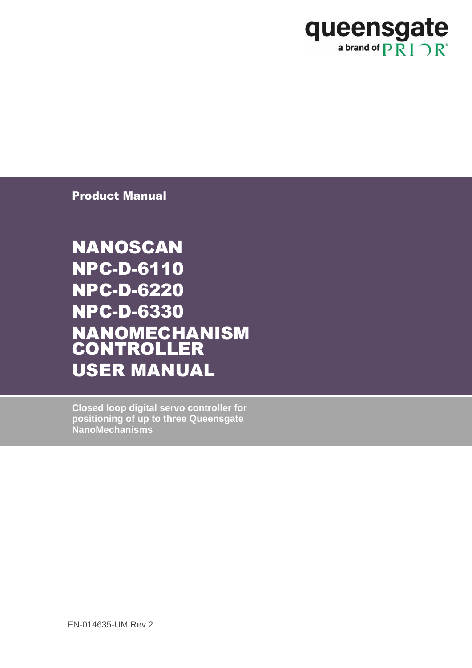

Product Manual

NANOSCAN NPC-D-6110 NPC-D-6220 NPC-D-6330 NANOMECHANISM CONTROLLER USER MANUAL

**Closed loop digital servo controller for positioning of up to three Queensgate NanoMechanisms**

EN-014635-UM Rev 2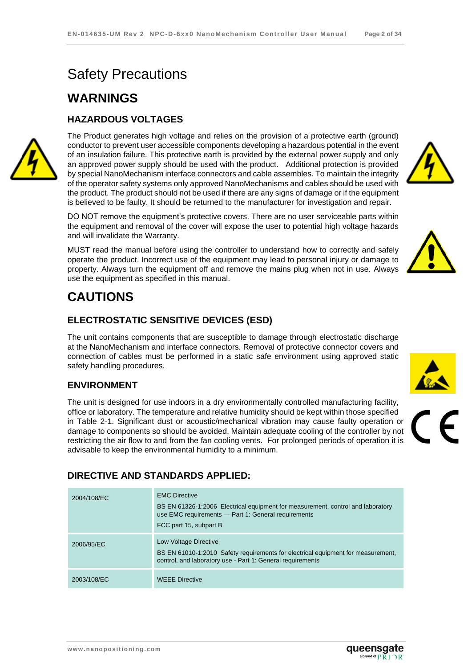# Safety Precautions

## **WARNINGS**

#### **HAZARDOUS VOLTAGES**



The Product generates high voltage and relies on the provision of a protective earth (ground) conductor to prevent user accessible components developing a hazardous potential in the event of an insulation failure. This protective earth is provided by the external power supply and only an approved power supply should be used with the product. Additional protection is provided by special NanoMechanism interface connectors and cable assembles. To maintain the integrity of the operator safety systems only approved NanoMechanisms and cables should be used with the product. The product should not be used if there are any signs of damage or if the equipment is believed to be faulty. It should be returned to the manufacturer for investigation and repair.

DO NOT remove the equipment's protective covers. There are no user serviceable parts within the equipment and removal of the cover will expose the user to potential high voltage hazards and will invalidate the Warranty.

MUST read the manual before using the controller to understand how to correctly and safely operate the product. Incorrect use of the equipment may lead to personal injury or damage to property. Always turn the equipment off and remove the mains plug when not in use. Always use the equipment as specified in this manual.

# **CAUTIONS**

#### **ELECTROSTATIC SENSITIVE DEVICES (ESD)**

The unit contains components that are susceptible to damage through electrostatic discharge at the NanoMechanism and interface connectors. Removal of protective connector covers and connection of cables must be performed in a static safe environment using approved static safety handling procedures.

#### **ENVIRONMENT**

The unit is designed for use indoors in a dry environmentally controlled manufacturing facility, office or laboratory. The temperature and relative humidity should be kept within those specified in [Table 2-1.](#page-7-0) Significant dust or acoustic/mechanical vibration may cause faulty operation or damage to components so should be avoided. Maintain adequate cooling of the controller by not restricting the air flow to and from the fan cooling vents. For prolonged periods of operation it is advisable to keep the environmental humidity to a minimum.

#### **DIRECTIVE AND STANDARDS APPLIED:**

| 2004/108/EC | <b>EMC Directive</b><br>BS EN 61326-1:2006 Electrical equipment for measurement, control and laboratory<br>use EMC requirements - Part 1: General requirements<br>FCC part 15, subpart B |
|-------------|------------------------------------------------------------------------------------------------------------------------------------------------------------------------------------------|
| 2006/95/EC  | Low Voltage Directive<br>BS EN 61010-1:2010 Safety requirements for electrical equipment for measurement,<br>control, and laboratory use - Part 1: General requirements                  |
| 2003/108/EC | <b>WEEE Directive</b>                                                                                                                                                                    |







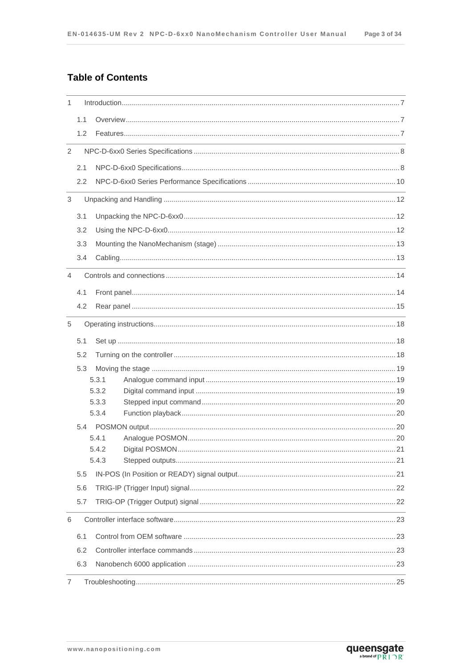#### **Table of Contents**

| 1              |     |                                                                                                                                                                                                                               |
|----------------|-----|-------------------------------------------------------------------------------------------------------------------------------------------------------------------------------------------------------------------------------|
|                | 1.1 |                                                                                                                                                                                                                               |
|                | 1.2 |                                                                                                                                                                                                                               |
| $\overline{2}$ |     | <u> 1989 - Johann Stoff, deutscher Stoff, der Stoff, der Stoff, der Stoff, der Stoff, der Stoff, der Stoff, der S</u>                                                                                                         |
|                | 2.1 |                                                                                                                                                                                                                               |
|                | 2.2 |                                                                                                                                                                                                                               |
| 3              |     | the control of the control of the control of the control of the control of the control of the control of the control of the control of the control of the control of the control of the control of the control of the control |
|                | 3.1 |                                                                                                                                                                                                                               |
|                | 3.2 |                                                                                                                                                                                                                               |
|                | 3.3 |                                                                                                                                                                                                                               |
|                | 3.4 |                                                                                                                                                                                                                               |
| $\overline{4}$ |     | ,我们也不会有什么。""我们的人,我们也不会有什么?""我们的人,我们也不会有什么?""我们的人,我们也不会有什么?""我们的人,我们也不会有什么?""我们的人                                                                                                                                              |
|                | 4.1 |                                                                                                                                                                                                                               |
|                | 4.2 |                                                                                                                                                                                                                               |
| 5              |     |                                                                                                                                                                                                                               |
|                |     |                                                                                                                                                                                                                               |
|                | 5.1 |                                                                                                                                                                                                                               |
|                | 5.2 |                                                                                                                                                                                                                               |
|                | 5.3 |                                                                                                                                                                                                                               |
|                |     | 5.3.1<br>5.3.2                                                                                                                                                                                                                |
|                |     | 5.3.3                                                                                                                                                                                                                         |
|                |     | 5.3.4                                                                                                                                                                                                                         |
|                |     |                                                                                                                                                                                                                               |
|                |     | 5.4.1                                                                                                                                                                                                                         |
|                |     | 21<br>542                                                                                                                                                                                                                     |
|                |     | 5.4.3                                                                                                                                                                                                                         |
|                | 5.5 |                                                                                                                                                                                                                               |
|                | 5.6 |                                                                                                                                                                                                                               |
|                | 5.7 | <u> 1989 - Johann Stoff, amerikansk politiker (* 1908)</u>                                                                                                                                                                    |
| 6              |     |                                                                                                                                                                                                                               |
|                | 6.1 |                                                                                                                                                                                                                               |
|                | 6.2 |                                                                                                                                                                                                                               |
|                | 6.3 |                                                                                                                                                                                                                               |
| 7              |     | <u> 1989 - Johann Stoff, amerikansk politiker (* 1908)</u>                                                                                                                                                                    |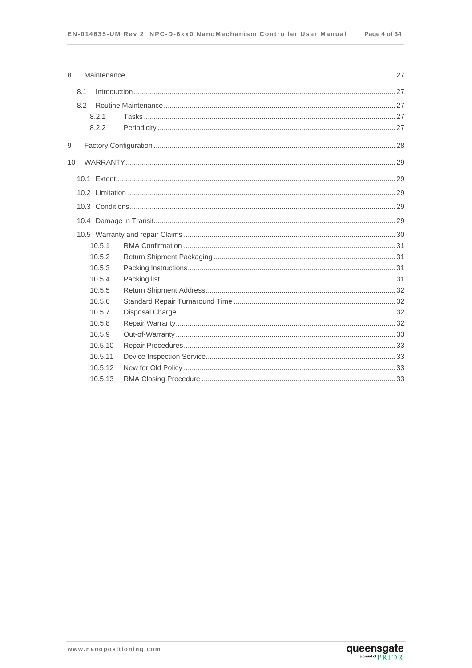| 8              |     |         |  |
|----------------|-----|---------|--|
|                | 8.1 |         |  |
|                | 8.2 |         |  |
|                |     | 8.2.1   |  |
|                |     | 8.2.2   |  |
| $\overline{9}$ |     |         |  |
| 10             |     |         |  |
|                |     |         |  |
|                |     |         |  |
|                |     |         |  |
|                |     |         |  |
|                |     |         |  |
|                |     | 10.5.1  |  |
|                |     | 10.5.2  |  |
|                |     | 10.5.3  |  |
|                |     | 10.5.4  |  |
|                |     | 10.5.5  |  |
|                |     | 10.5.6  |  |
|                |     | 10.5.7  |  |
|                |     | 10.5.8  |  |
|                |     | 10.5.9  |  |
|                |     | 10.5.10 |  |
|                |     | 10.5.11 |  |
|                |     | 10.5.12 |  |
|                |     | 10.5.13 |  |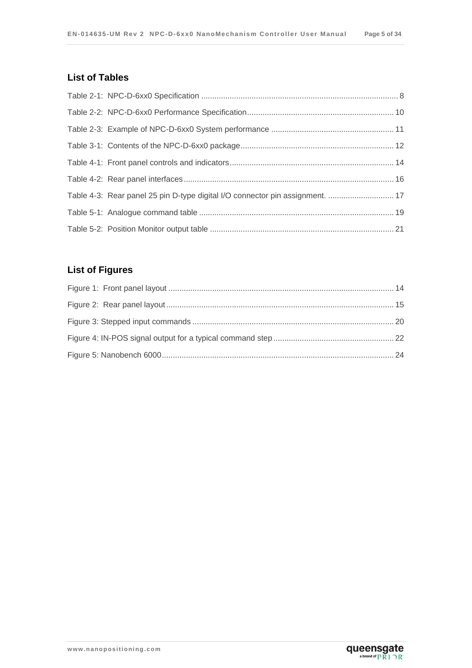#### **List of Tables**

| Table 4-3: Rear panel 25 pin D-type digital I/O connector pin assignment.  17 |  |
|-------------------------------------------------------------------------------|--|
|                                                                               |  |
|                                                                               |  |

## **List of Figures**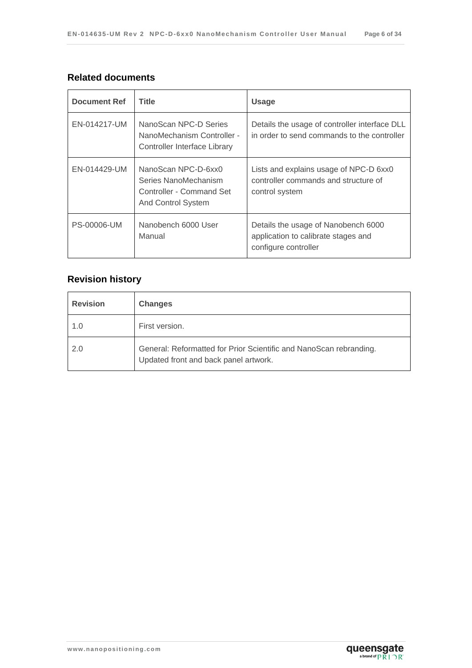#### **Related documents**

| Document Ref<br><b>Title</b> |                                                                                                      | <b>Usage</b>                                                                                       |  |  |
|------------------------------|------------------------------------------------------------------------------------------------------|----------------------------------------------------------------------------------------------------|--|--|
| EN-014217-UM                 | NanoScan NPC-D Series<br>NanoMechanism Controller -<br>Controller Interface Library                  | Details the usage of controller interface DLL<br>in order to send commands to the controller       |  |  |
| EN-014429-UM                 | NanoScan NPC-D-6xx0<br>Series NanoMechanism<br>Controller - Command Set<br><b>And Control System</b> | Lists and explains usage of NPC-D 6xx0<br>controller commands and structure of<br>control system   |  |  |
| <b>PS-00006-UM</b>           | Nanobench 6000 User<br>Manual                                                                        | Details the usage of Nanobench 6000<br>application to calibrate stages and<br>configure controller |  |  |

## **Revision history**

| <b>Revision</b> | <b>Changes</b>                                                                                              |
|-----------------|-------------------------------------------------------------------------------------------------------------|
| 1.0             | First version.                                                                                              |
| 2.0             | General: Reformatted for Prior Scientific and NanoScan rebranding.<br>Updated front and back panel artwork. |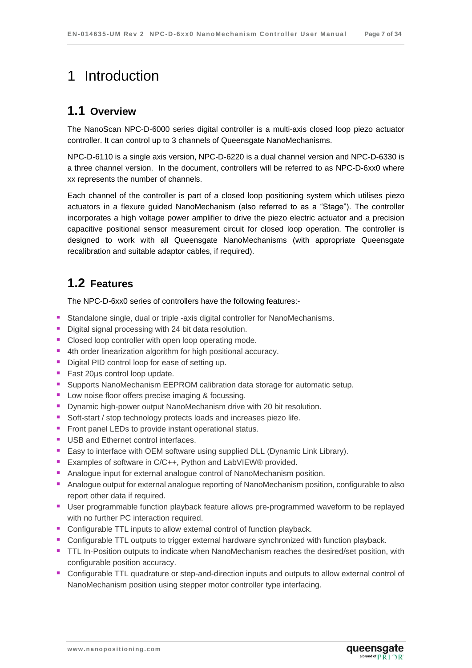# <span id="page-6-0"></span>1 Introduction

### <span id="page-6-1"></span>**1.1 Overview**

The NanoScan NPC-D-6000 series digital controller is a multi-axis closed loop piezo actuator controller. It can control up to 3 channels of Queensgate NanoMechanisms.

NPC-D-6110 is a single axis version, NPC-D-6220 is a dual channel version and NPC-D-6330 is a three channel version. In the document, controllers will be referred to as NPC-D-6xx0 where xx represents the number of channels.

Each channel of the controller is part of a closed loop positioning system which utilises piezo actuators in a flexure guided NanoMechanism (also referred to as a "Stage"). The controller incorporates a high voltage power amplifier to drive the piezo electric actuator and a precision capacitive positional sensor measurement circuit for closed loop operation. The controller is designed to work with all Queensgate NanoMechanisms (with appropriate Queensgate recalibration and suitable adaptor cables, if required).

# <span id="page-6-2"></span>**1.2 Features**

The NPC-D-6xx0 series of controllers have the following features:-

- Standalone single, dual or triple -axis digital controller for NanoMechanisms.
- Digital signal processing with 24 bit data resolution.
- **Closed loop controller with open loop operating mode.**
- 4th order linearization algorithm for high positional accuracy.
- Digital PID control loop for ease of setting up.
- Fast 20µs control loop update.
- **Supports NanoMechanism EEPROM calibration data storage for automatic setup.**
- **Low noise floor offers precise imaging & focussing.**
- **Dynamic high-power output NanoMechanism drive with 20 bit resolution.**
- Soft-start / stop technology protects loads and increases piezo life.
- Front panel LEDs to provide instant operational status.
- USB and Ethernet control interfaces.
- **Easy to interface with OEM software using supplied DLL (Dynamic Link Library).**
- Examples of software in C/C++, Python and LabVIEW® provided.
- Analogue input for external analogue control of NanoMechanism position.
- **Analogue output for external analogue reporting of NanoMechanism position, configurable to also** report other data if required.
- **User programmable function playback feature allows pre-programmed waveform to be replayed** with no further PC interaction required.
- Configurable TTL inputs to allow external control of function playback.
- **Configurable TTL outputs to trigger external hardware synchronized with function playback.**
- TTL In-Position outputs to indicate when NanoMechanism reaches the desired/set position, with configurable position accuracy.
- **Configurable TTL quadrature or step-and-direction inputs and outputs to allow external control of** NanoMechanism position using stepper motor controller type interfacing.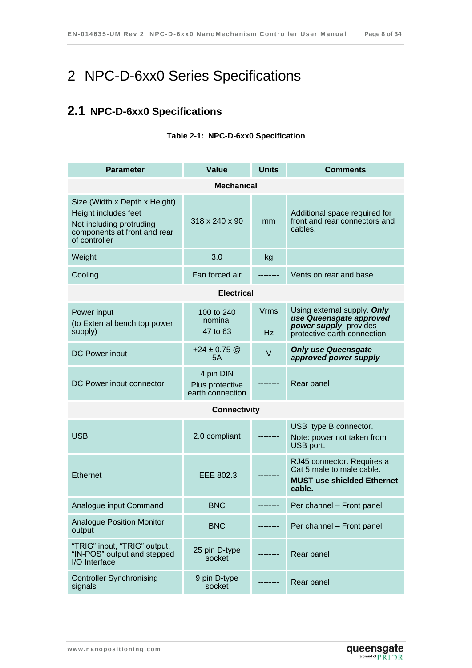# <span id="page-7-1"></span>2 NPC-D-6xx0 Series Specifications

# <span id="page-7-2"></span><span id="page-7-0"></span>**2.1 NPC-D-6xx0 Specifications**

| <b>Parameter</b>                                                                                                                   | Value                                            | <b>Units</b>      | <b>Comments</b>                                                                                                 |  |  |  |
|------------------------------------------------------------------------------------------------------------------------------------|--------------------------------------------------|-------------------|-----------------------------------------------------------------------------------------------------------------|--|--|--|
| <b>Mechanical</b>                                                                                                                  |                                                  |                   |                                                                                                                 |  |  |  |
| Size (Width x Depth x Height)<br>Height includes feet<br>Not including protruding<br>components at front and rear<br>of controller | 318 x 240 x 90                                   | mm                | Additional space required for<br>front and rear connectors and<br>cables.                                       |  |  |  |
| Weight                                                                                                                             | 3.0                                              | kg                |                                                                                                                 |  |  |  |
| Cooling                                                                                                                            | Fan forced air                                   |                   | Vents on rear and base                                                                                          |  |  |  |
|                                                                                                                                    | <b>Electrical</b>                                |                   |                                                                                                                 |  |  |  |
| Power input<br>(to External bench top power<br>supply)                                                                             | 100 to 240<br>nominal<br>47 to 63                | <b>Vrms</b><br>Hz | Using external supply. Only<br>use Queensgate approved<br>power supply -provides<br>protective earth connection |  |  |  |
| DC Power input                                                                                                                     | $+24 \pm 0.75$ @<br>5A                           | $\vee$            | <b>Only use Queensgate</b><br>approved power supply                                                             |  |  |  |
| DC Power input connector                                                                                                           | 4 pin DIN<br>Plus protective<br>earth connection |                   | Rear panel                                                                                                      |  |  |  |
|                                                                                                                                    | <b>Connectivity</b>                              |                   |                                                                                                                 |  |  |  |
| <b>USB</b>                                                                                                                         | 2.0 compliant                                    |                   | USB type B connector.<br>Note: power not taken from<br>USB port.                                                |  |  |  |
| Ethernet                                                                                                                           | <b>IEEE 802.3</b>                                |                   | RJ45 connector. Requires a<br>Cat 5 male to male cable.<br><b>MUST use shielded Ethernet</b><br>cable.          |  |  |  |
| Analogue input Command                                                                                                             | <b>BNC</b>                                       |                   | Per channel - Front panel                                                                                       |  |  |  |
| <b>Analogue Position Monitor</b><br>output                                                                                         | <b>BNC</b>                                       |                   | Per channel - Front panel                                                                                       |  |  |  |
| "TRIG" input, "TRIG" output,<br>"IN-POS" output and stepped<br>I/O Interface                                                       | 25 pin D-type<br>socket                          |                   | Rear panel                                                                                                      |  |  |  |
| <b>Controller Synchronising</b><br>signals                                                                                         | 9 pin D-type<br>socket                           |                   | Rear panel                                                                                                      |  |  |  |

#### **Table 2-1: NPC-D-6xx0 Specification**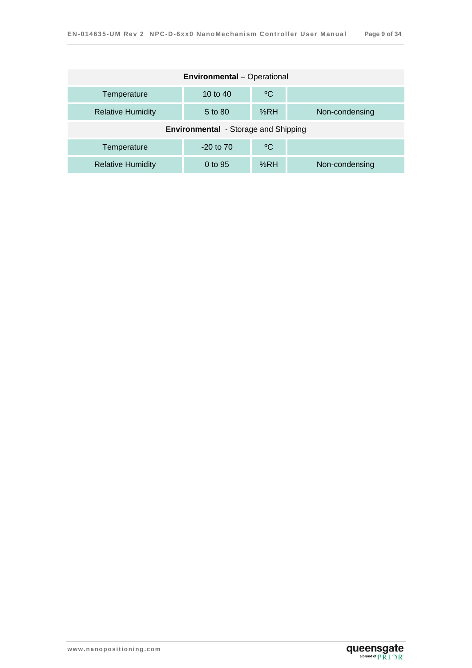| <b>Environmental</b> - Operational           |            |     |                |  |  |  |
|----------------------------------------------|------------|-----|----------------|--|--|--|
| Temperature                                  | 10 to $40$ | °€  |                |  |  |  |
| <b>Relative Humidity</b>                     | 5 to 80    | %RH | Non-condensing |  |  |  |
| <b>Environmental</b> - Storage and Shipping  |            |     |                |  |  |  |
| $^{\circ}$ C<br>$-20$ to $70$<br>Temperature |            |     |                |  |  |  |
| <b>Relative Humidity</b>                     | 0 to 95    | %RH | Non-condensing |  |  |  |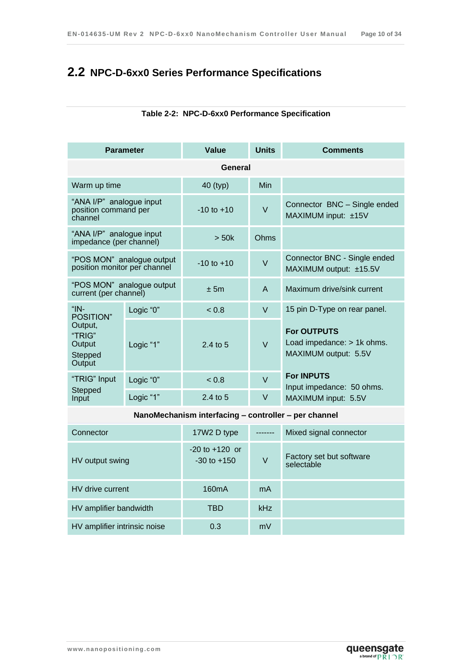# <span id="page-9-1"></span><span id="page-9-0"></span>**2.2 NPC-D-6xx0 Series Performance Specifications**

| <b>Parameter</b>                                            |           | Value          | <b>Units</b> | <b>Comments</b>                                                          |  |  |  |
|-------------------------------------------------------------|-----------|----------------|--------------|--------------------------------------------------------------------------|--|--|--|
|                                                             | General   |                |              |                                                                          |  |  |  |
| Warm up time                                                |           | 40 (typ)       | <b>Min</b>   |                                                                          |  |  |  |
| "ANA I/P" analogue input<br>position command per<br>channel |           | $-10$ to $+10$ | $\vee$       | Connector BNC - Single ended<br>MAXIMUM input: ±15V                      |  |  |  |
| "ANA I/P" analogue input<br>impedance (per channel)         |           | > 50k          | Ohms         |                                                                          |  |  |  |
| "POS MON" analogue output<br>position monitor per channel   |           | $-10$ to $+10$ | $\vee$       | Connector BNC - Single ended<br>MAXIMUM output: ±15.5V                   |  |  |  |
| "POS MON" analogue output<br>current (per channel)          |           | ± 5m           | A            | Maximum drive/sink current                                               |  |  |  |
| " $IN-$<br>POSITION"                                        | Logic "0" | < 0.8          | $\vee$       | 15 pin D-Type on rear panel.                                             |  |  |  |
| Output,<br>"TRIG"<br>Output<br>Stepped<br>Output            | Logic "1" | $2.4$ to 5     | $\vee$       | <b>For OUTPUTS</b><br>Load impedance: > 1k ohms.<br>MAXIMUM output: 5.5V |  |  |  |
| "TRIG" Input                                                | Logic "0" | < 0.8          | $\vee$       | <b>For INPUTS</b><br>Input impedance: 50 ohms.                           |  |  |  |
| Stepped<br>Input                                            | Logic "1" | 2.4 to 5       | V            | MAXIMUM input: 5.5V                                                      |  |  |  |

#### **Table 2-2: NPC-D-6xx0 Performance Specification**

**NanoMechanism interfacing – controller – per channel**

| Connector                    | 17W2 D type                           |            | Mixed signal connector                 |
|------------------------------|---------------------------------------|------------|----------------------------------------|
| HV output swing              | $-20$ to $+120$ or<br>$-30$ to $+150$ | V          | Factory set but software<br>selectable |
| HV drive current             | 160 <sub>m</sub> A                    | mA         |                                        |
| HV amplifier bandwidth       | TBD                                   | <b>kHz</b> |                                        |
| HV amplifier intrinsic noise | 0.3                                   | mV         |                                        |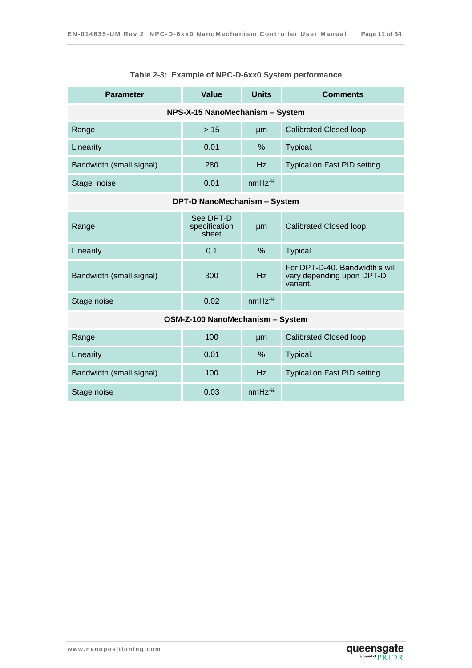<span id="page-10-0"></span>

| Table 2-3: Example of NPC-D-6xx0 System performance |                                     |               |                                                                         |  |  |  |
|-----------------------------------------------------|-------------------------------------|---------------|-------------------------------------------------------------------------|--|--|--|
| <b>Parameter</b>                                    | Value                               | <b>Units</b>  | <b>Comments</b>                                                         |  |  |  |
| NPS-X-15 NanoMechanism - System                     |                                     |               |                                                                         |  |  |  |
| Range                                               | >15                                 | µm            | Calibrated Closed loop.                                                 |  |  |  |
| Linearity                                           | 0.01                                | $\%$          | Typical.                                                                |  |  |  |
| Bandwidth (small signal)                            | 280                                 | Hz            | Typical on Fast PID setting.                                            |  |  |  |
| Stage noise                                         | 0.01                                | $nmHz^{-1/2}$ |                                                                         |  |  |  |
|                                                     | <b>DPT-D NanoMechanism - System</b> |               |                                                                         |  |  |  |
| Range                                               | See DPT-D<br>specification<br>sheet | µm            | Calibrated Closed loop.                                                 |  |  |  |
| Linearity                                           | 0.1                                 | $\frac{0}{0}$ | Typical.                                                                |  |  |  |
| Bandwidth (small signal)                            | 300                                 | Hz            | For DPT-D-40. Bandwidth's will<br>vary depending upon DPT-D<br>variant. |  |  |  |
| Stage noise                                         | 0.02                                | $nmHz^{-1/2}$ |                                                                         |  |  |  |
| OSM-Z-100 NanoMechanism - System                    |                                     |               |                                                                         |  |  |  |
| Range                                               | 100                                 | µm            | Calibrated Closed loop.                                                 |  |  |  |
| Linearity                                           | 0.01                                | $\frac{0}{0}$ | Typical.                                                                |  |  |  |
| Bandwidth (small signal)                            | 100                                 | Hz            | Typical on Fast PID setting.                                            |  |  |  |
| Stage noise                                         | 0.03                                | $nmHz^{-1/2}$ |                                                                         |  |  |  |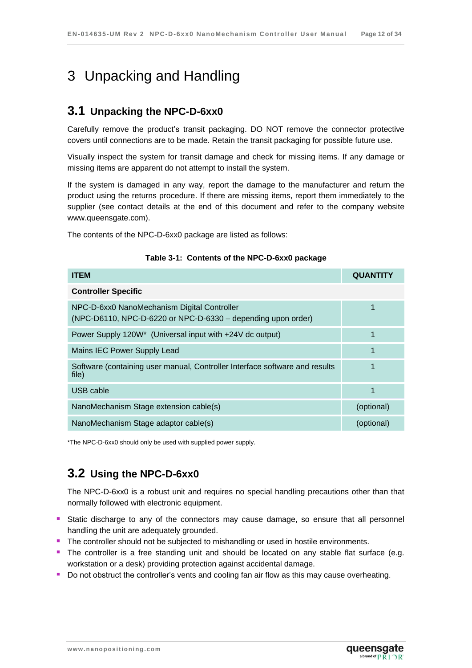# <span id="page-11-0"></span>3 Unpacking and Handling

### <span id="page-11-1"></span>**3.1 Unpacking the NPC-D-6xx0**

Carefully remove the product's transit packaging. DO NOT remove the connector protective covers until connections are to be made. Retain the transit packaging for possible future use.

Visually inspect the system for transit damage and check for missing items. If any damage or missing items are apparent do not attempt to install the system.

If the system is damaged in any way, report the damage to the manufacturer and return the product using the returns procedure. If there are missing items, report them immediately to the supplier (see contact details at the end of this document and refer to the company website www.queensgate.com).

<span id="page-11-3"></span>The contents of the NPC-D-6xx0 package are listed as follows:

| <b>ITEM</b>                                                                                                 | <b>QUANTITY</b> |
|-------------------------------------------------------------------------------------------------------------|-----------------|
| <b>Controller Specific</b>                                                                                  |                 |
| NPC-D-6xx0 NanoMechanism Digital Controller<br>(NPC-D6110, NPC-D-6220 or NPC-D-6330 – depending upon order) |                 |
| Power Supply 120W* (Universal input with +24V dc output)                                                    | 1               |
| Mains IEC Power Supply Lead                                                                                 | 1               |
| Software (containing user manual, Controller Interface software and results<br>file)                        | 1               |
| USB cable                                                                                                   |                 |
| NanoMechanism Stage extension cable(s)                                                                      | (optional)      |
| NanoMechanism Stage adaptor cable(s)                                                                        | (optional)      |

#### **Table 3-1: Contents of the NPC-D-6xx0 package**

<span id="page-11-2"></span>\*The NPC-D-6xx0 should only be used with supplied power supply.

### **3.2 Using the NPC-D-6xx0**

The NPC-D-6xx0 is a robust unit and requires no special handling precautions other than that normally followed with electronic equipment.

- **Static discharge to any of the connectors may cause damage, so ensure that all personnel** handling the unit are adequately grounded.
- **The controller should not be subjected to mishandling or used in hostile environments.**
- The controller is a free standing unit and should be located on any stable flat surface (e.g. workstation or a desk) providing protection against accidental damage.
- Do not obstruct the controller's vents and cooling fan air flow as this may cause overheating.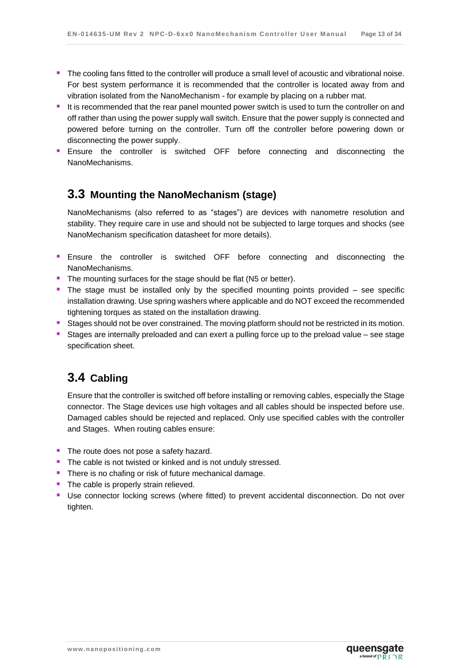- The cooling fans fitted to the controller will produce a small level of acoustic and vibrational noise. For best system performance it is recommended that the controller is located away from and vibration isolated from the NanoMechanism - for example by placing on a rubber mat.
- It is recommended that the rear panel mounted power switch is used to turn the controller on and off rather than using the power supply wall switch. Ensure that the power supply is connected and powered before turning on the controller. Turn off the controller before powering down or disconnecting the power supply.
- **Ensure the controller is switched OFF before connecting and disconnecting the** NanoMechanisms.

### <span id="page-12-0"></span>**3.3 Mounting the NanoMechanism (stage)**

NanoMechanisms (also referred to as "stages") are devices with nanometre resolution and stability. They require care in use and should not be subjected to large torques and shocks (see NanoMechanism specification datasheet for more details).

- **Ensure the controller is switched OFF before connecting and disconnecting the** NanoMechanisms.
- The mounting surfaces for the stage should be flat (N5 or better).
- **The stage must be installed only by the specified mounting points provided see specific** installation drawing. Use spring washers where applicable and do NOT exceed the recommended tightening torques as stated on the installation drawing.
- **Stages should not be over constrained. The moving platform should not be restricted in its motion.**
- Stages are internally preloaded and can exert a pulling force up to the preload value see stage specification sheet.

### <span id="page-12-1"></span>**3.4 Cabling**

Ensure that the controller is switched off before installing or removing cables, especially the Stage connector. The Stage devices use high voltages and all cables should be inspected before use. Damaged cables should be rejected and replaced. Only use specified cables with the controller and Stages. When routing cables ensure:

- The route does not pose a safety hazard.
- **The cable is not twisted or kinked and is not unduly stressed.**
- **There is no chafing or risk of future mechanical damage.**
- The cable is properly strain relieved.
- Use connector locking screws (where fitted) to prevent accidental disconnection. Do not over tighten.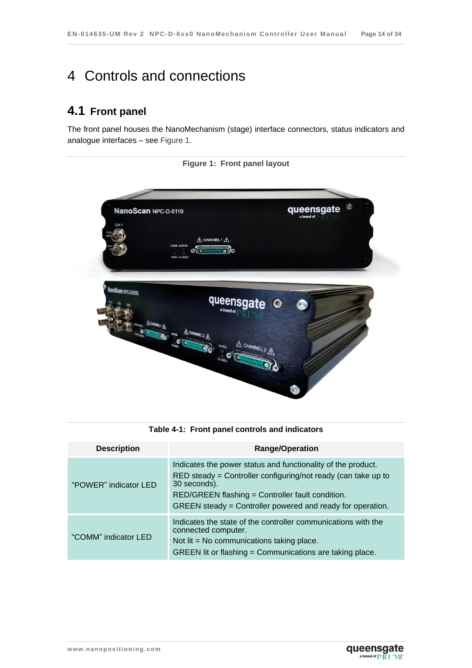# <span id="page-13-0"></span>4 Controls and connections

# <span id="page-13-1"></span>**4.1 Front panel**

<span id="page-13-3"></span>The front panel houses the NanoMechanism (stage) interface connectors, status indicators and analogue interfaces – see [Figure 1.](#page-13-3)



**Figure 1: Front panel layout**

<span id="page-13-2"></span>

| <b>Description</b>    | <b>Range/Operation</b>                                                                                                                                                                                                                                          |
|-----------------------|-----------------------------------------------------------------------------------------------------------------------------------------------------------------------------------------------------------------------------------------------------------------|
| "POWER" indicator LED | Indicates the power status and functionality of the product.<br>RED steady = Controller configuring/not ready (can take up to<br>30 seconds).<br>RED/GREEN flashing = Controller fault condition.<br>GREEN steady = Controller powered and ready for operation. |
| "COMM" indicator LED  | Indicates the state of the controller communications with the<br>connected computer.<br>Not $\mathsf{lit} = \mathsf{No}$ communications taking place.<br>GREEN lit or flashing = Communications are taking place.                                               |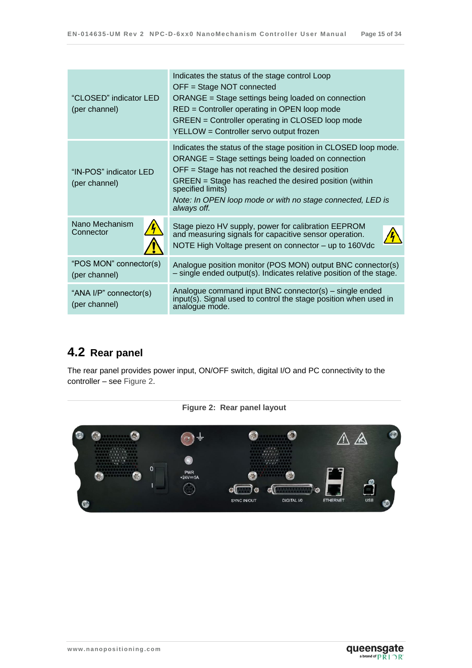| "CLOSED" indicator LED<br>(per channel) | Indicates the status of the stage control Loop<br>OFF = Stage NOT connected<br>ORANGE = Stage settings being loaded on connection<br>RED = Controller operating in OPEN loop mode<br>GREEN = Controller operating in CLOSED loop mode<br>YELLOW = Controller servo output frozen                                                        |
|-----------------------------------------|-----------------------------------------------------------------------------------------------------------------------------------------------------------------------------------------------------------------------------------------------------------------------------------------------------------------------------------------|
| "IN-POS" indicator LED<br>(per channel) | Indicates the status of the stage position in CLOSED loop mode.<br>ORANGE = Stage settings being loaded on connection<br>$OFF = Stage$ has not reached the desired position<br>GREEN = Stage has reached the desired position (within<br>specified limits)<br>Note: In OPEN loop mode or with no stage connected, LED is<br>always off. |
| Nano Mechanism<br>Connector             | Stage piezo HV supply, power for calibration EEPROM<br>and measuring signals for capacitive sensor operation.<br>NOTE High Voltage present on connector - up to 160Vdc                                                                                                                                                                  |
| "POS MON" connector(s)<br>(per channel) | Analogue position monitor (POS MON) output BNC connector(s)<br>$-$ single ended output(s). Indicates relative position of the stage.                                                                                                                                                                                                    |
| "ANA I/P" connector(s)<br>(per channel) | Analogue command input BNC connector(s) – single ended<br>input(s). Signal used to control the stage position when used in<br>analogue mode.                                                                                                                                                                                            |

# <span id="page-14-0"></span>**4.2 Rear panel**

The rear panel provides power input, ON/OFF switch, digital I/O and PC connectivity to the controller – see [Figure 2.](#page-14-1)

<span id="page-14-1"></span>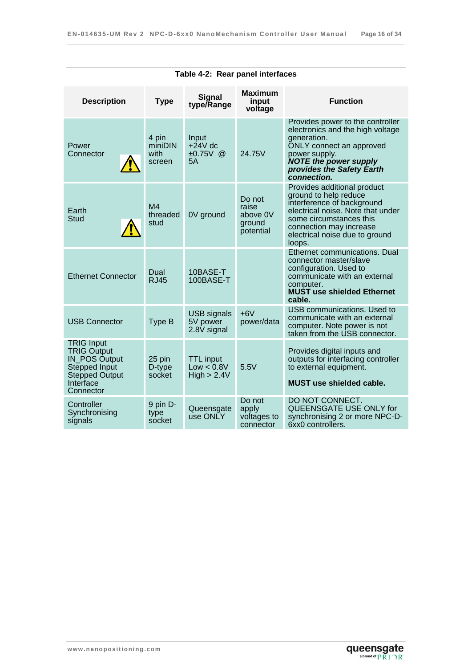<span id="page-15-0"></span>

| Table 4-2: Rear panel interfaces                                                                                             |                                    |                                               |                                                    |                                                                                                                                                                                                                           |
|------------------------------------------------------------------------------------------------------------------------------|------------------------------------|-----------------------------------------------|----------------------------------------------------|---------------------------------------------------------------------------------------------------------------------------------------------------------------------------------------------------------------------------|
| <b>Description</b>                                                                                                           | <b>Type</b>                        | <b>Signal</b><br>type/Range                   | <b>Maximum</b><br>input<br>voltage                 | <b>Function</b>                                                                                                                                                                                                           |
| Power<br>Connector                                                                                                           | 4 pin<br>miniDIN<br>with<br>screen | Input<br>$+24V$ dc<br>$±0.75V$ @<br>5A        | 24.75V                                             | Provides power to the controller<br>electronics and the high voltage<br>generation.<br>ONLY connect an approved<br>power supply.<br><b>NOTE the power supply</b><br>provides the Safety Earth<br><i>connection.</i>       |
| Earth<br><b>Stud</b>                                                                                                         | M <sub>4</sub><br>threaded<br>stud | 0V ground                                     | Do not<br>raise<br>above 0V<br>ground<br>potential | Provides additional product<br>ground to help reduce<br>interference of background<br>electrical noise. Note that under<br>some circumstances this<br>connection may increase<br>electrical noise due to ground<br>loops. |
| <b>Ethernet Connector</b>                                                                                                    | Dual<br><b>RJ45</b>                | 10BASE-T<br>100BASE-T                         |                                                    | Ethernet communications. Dual<br>connector master/slave<br>configuration. Used to<br>communicate with an external<br>computer.<br><b>MUST use shielded Ethernet</b><br>cable.                                             |
| <b>USB Connector</b>                                                                                                         | Type B                             | <b>USB</b> signals<br>5V power<br>2.8V signal | $+6V$<br>power/data                                | <b>USB communications. Used to</b><br>communicate with an external<br>computer. Note power is not<br>taken from the USB connector.                                                                                        |
| <b>TRIG Input</b><br><b>TRIG Output</b><br>IN_POS Output<br>Stepped Input<br><b>Stepped Output</b><br>Interface<br>Connector | 25 pin<br>D-type<br>socket         | <b>TTL</b> input<br>Low < 0.8V<br>High > 2.4V | 5.5V                                               | Provides digital inputs and<br>outputs for interfacing controller<br>to external equipment.<br><b>MUST</b> use shielded cable.                                                                                            |
| Controller<br>Synchronising<br>signals                                                                                       | 9 pin D-<br>type<br>socket         | Queensgate<br>use ONLY                        | Do not<br>apply<br>voltages to<br>connector        | DO NOT CONNECT.<br>QUEENSGATE USE ONLY for<br>synchronising 2 or more NPC-D-<br>6xx0 controllers.                                                                                                                         |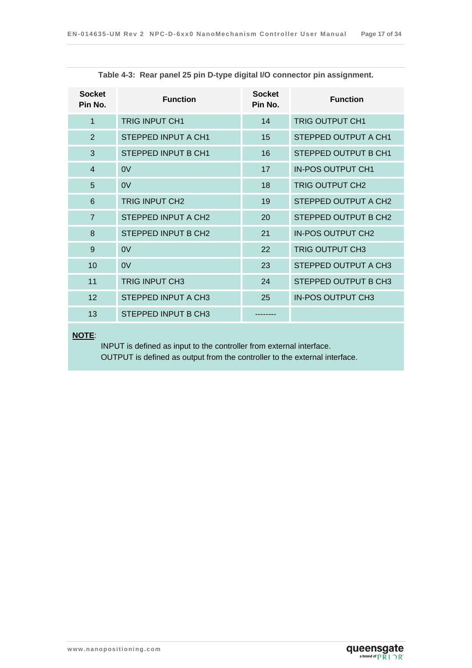<span id="page-16-0"></span>

| <b>Socket</b><br>Pin No. | <b>Function</b>       | <b>Socket</b><br>Pin No. | <b>Function</b>          |
|--------------------------|-----------------------|--------------------------|--------------------------|
| 1                        | <b>TRIG INPUT CH1</b> | 14                       | <b>TRIG OUTPUT CH1</b>   |
| $\overline{2}$           | STEPPED INPUT A CH1   | 15                       | STEPPED OUTPUT A CH1     |
| 3                        | STEPPED INPUT B CH1   | 16                       | STEPPED OUTPUT B CH1     |
| $\overline{4}$           | 0V                    | 17                       | <b>IN-POS OUTPUT CH1</b> |
| 5                        | 0V                    | 18                       | <b>TRIG OUTPUT CH2</b>   |
| 6                        | <b>TRIG INPUT CH2</b> | 19                       | STEPPED OUTPUT A CH2     |
| $\overline{7}$           | STEPPED INPUT A CH2   | 20                       | STEPPED OUTPUT B CH2     |
| 8                        | STEPPED INPUT B CH2   | 21                       | <b>IN-POS OUTPUT CH2</b> |
| 9                        | 0V                    | 22                       | <b>TRIG OUTPUT CH3</b>   |
| 10                       | 0V                    | 23                       | STEPPED OUTPUT A CH3     |
| 11                       | <b>TRIG INPUT CH3</b> | 24                       | STEPPED OUTPUT B CH3     |
| 12                       | STEPPED INPUT A CH3   | 25                       | <b>IN-POS OUTPUT CH3</b> |
| 13                       | STEPPED INPUT B CH3   |                          |                          |

**Table 4-3: Rear panel 25 pin D-type digital I/O connector pin assignment.**

#### **NOTE**:

INPUT is defined as input to the controller from external interface. OUTPUT is defined as output from the controller to the external interface.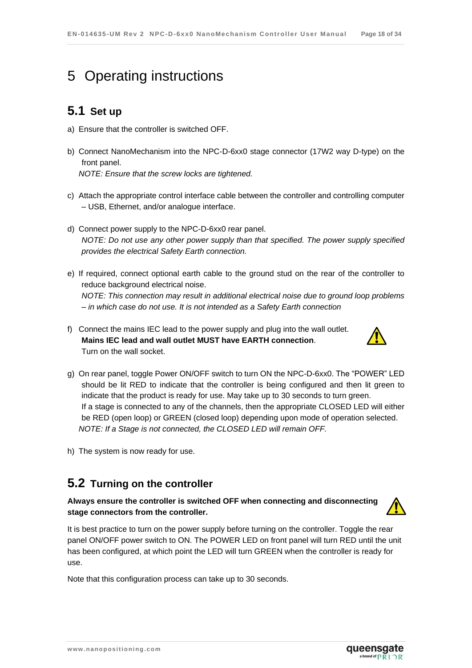# <span id="page-17-0"></span>5 Operating instructions

## <span id="page-17-1"></span>**5.1 Set up**

- a) Ensure that the controller is switched OFF.
- b) Connect NanoMechanism into the NPC-D-6xx0 stage connector (17W2 way D-type) on the front panel. *NOTE: Ensure that the screw locks are tightened.*
- c) Attach the appropriate control interface cable between the controller and controlling computer – USB, Ethernet, and/or analogue interface.
- d) Connect power supply to the NPC-D-6xx0 rear panel. *NOTE: Do not use any other power supply than that specified. The power supply specified provides the electrical Safety Earth connection.*
- e) If required, connect optional earth cable to the ground stud on the rear of the controller to reduce background electrical noise. *NOTE: This connection may result in additional electrical noise due to ground loop problems – in which case do not use. It is not intended as a Safety Earth connection*
- f) Connect the mains IEC lead to the power supply and plug into the wall outlet. **Mains IEC lead and wall outlet MUST have EARTH connection**. Turn on the wall socket.



- g) On rear panel, toggle Power ON/OFF switch to turn ON the NPC-D-6xx0. The "POWER" LED should be lit RED to indicate that the controller is being configured and then lit green to indicate that the product is ready for use. May take up to 30 seconds to turn green. If a stage is connected to any of the channels, then the appropriate CLOSED LED will either be RED (open loop) or GREEN (closed loop) depending upon mode of operation selected. *NOTE: If a Stage is not connected, the CLOSED LED will remain OFF.*
- h) The system is now ready for use.

## <span id="page-17-2"></span>**5.2 Turning on the controller**

#### **Always ensure the controller is switched OFF when connecting and disconnecting stage connectors from the controller.**



It is best practice to turn on the power supply before turning on the controller. Toggle the rear panel ON/OFF power switch to ON. The POWER LED on front panel will turn RED until the unit has been configured, at which point the LED will turn GREEN when the controller is ready for use.

Note that this configuration process can take up to 30 seconds.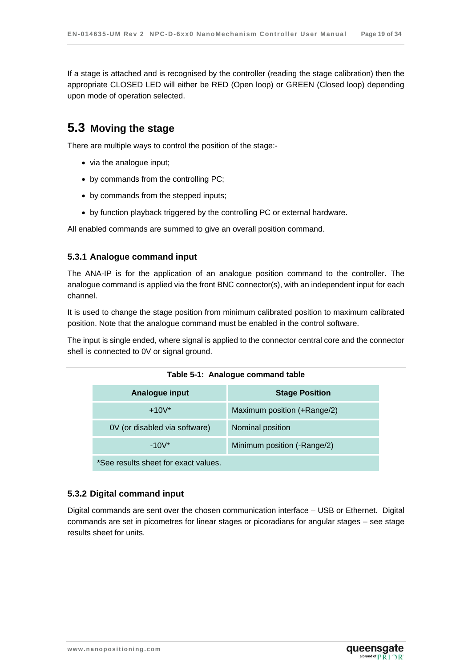If a stage is attached and is recognised by the controller (reading the stage calibration) then the appropriate CLOSED LED will either be RED (Open loop) or GREEN (Closed loop) depending upon mode of operation selected.

### <span id="page-18-0"></span>**5.3 Moving the stage**

There are multiple ways to control the position of the stage:-

- via the analogue input;
- by commands from the controlling PC;
- by commands from the stepped inputs;
- by function playback triggered by the controlling PC or external hardware.

All enabled commands are summed to give an overall position command.

#### <span id="page-18-1"></span>**5.3.1 Analogue command input**

The ANA-IP is for the application of an analogue position command to the controller. The analogue command is applied via the front BNC connector(s), with an independent input for each channel.

It is used to change the stage position from minimum calibrated position to maximum calibrated position. Note that the analogue command must be enabled in the control software.

<span id="page-18-3"></span>The input is single ended, where signal is applied to the connector central core and the connector shell is connected to 0V or signal ground.

**Table 5-1: Analogue command table**

| Analogue input                       | <b>Stage Position</b>       |
|--------------------------------------|-----------------------------|
| $+10V^*$                             | Maximum position (+Range/2) |
| 0V (or disabled via software)        | Nominal position            |
| $-10V^*$                             | Minimum position (-Range/2) |
| *See results sheet for exact values. |                             |

#### <span id="page-18-2"></span>**5.3.2 Digital command input**

Digital commands are sent over the chosen communication interface – USB or Ethernet. Digital commands are set in picometres for linear stages or picoradians for angular stages – see stage results sheet for units.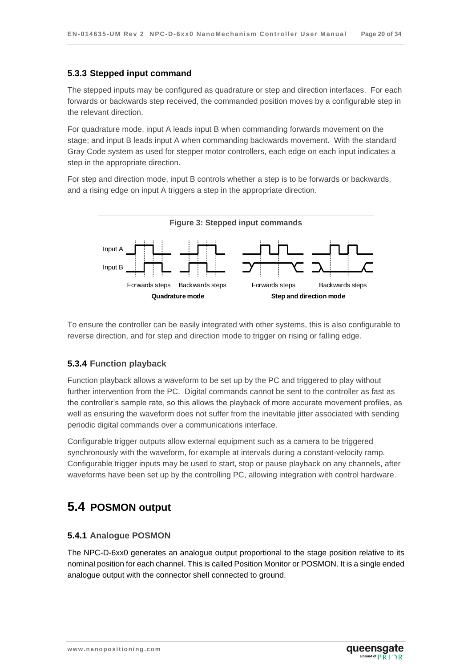#### <span id="page-19-0"></span>**5.3.3 Stepped input command**

The stepped inputs may be configured as quadrature or step and direction interfaces. For each forwards or backwards step received, the commanded position moves by a configurable step in the relevant direction.

For quadrature mode, input A leads input B when commanding forwards movement on the stage; and input B leads input A when commanding backwards movement. With the standard Gray Code system as used for stepper motor controllers, each edge on each input indicates a step in the appropriate direction.

For step and direction mode, input B controls whether a step is to be forwards or backwards, and a rising edge on input A triggers a step in the appropriate direction.



To ensure the controller can be easily integrated with other systems, this is also configurable to reverse direction, and for step and direction mode to trigger on rising or falling edge.

#### <span id="page-19-1"></span>**5.3.4 Function playback**

Function playback allows a waveform to be set up by the PC and triggered to play without further intervention from the PC. Digital commands cannot be sent to the controller as fast as the controller's sample rate, so this allows the playback of more accurate movement profiles, as well as ensuring the waveform does not suffer from the inevitable jitter associated with sending periodic digital commands over a communications interface.

Configurable trigger outputs allow external equipment such as a camera to be triggered synchronously with the waveform, for example at intervals during a constant-velocity ramp. Configurable trigger inputs may be used to start, stop or pause playback on any channels, after waveforms have been set up by the controlling PC, allowing integration with control hardware.

## <span id="page-19-2"></span>**5.4 POSMON output**

#### <span id="page-19-3"></span>**5.4.1 Analogue POSMON**

The NPC-D-6xx0 generates an analogue output proportional to the stage position relative to its nominal position for each channel. This is called Position Monitor or POSMON. It is a single ended analogue output with the connector shell connected to ground.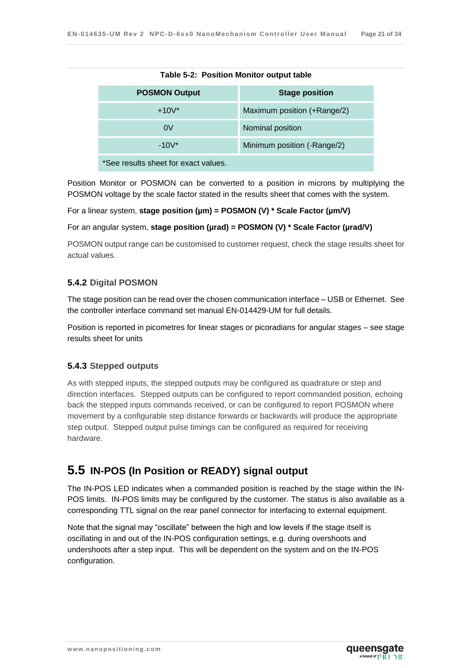<span id="page-20-3"></span>

| Table 5-2: Position Monitor output table |                             |  |
|------------------------------------------|-----------------------------|--|
| <b>POSMON Output</b>                     | <b>Stage position</b>       |  |
| $+10V^*$                                 | Maximum position (+Range/2) |  |
| 0V                                       | Nominal position            |  |
| $-10V^*$                                 | Minimum position (-Range/2) |  |
| *See results sheet for exact values.     |                             |  |

| Table 5-2: Position Monitor output table |
|------------------------------------------|
|------------------------------------------|

Position Monitor or POSMON can be converted to a position in microns by multiplying the POSMON voltage by the scale factor stated in the results sheet that comes with the system.

For a linear system, **stage position (µm) = POSMON (V) \* Scale Factor (µm/V)**

For an angular system, **stage position (µrad) = POSMON (V) \* Scale Factor (µrad/V)**

POSMON output range can be customised to customer request, check the stage results sheet for actual values.

#### <span id="page-20-0"></span>**5.4.2 Digital POSMON**

The stage position can be read over the chosen communication interface – USB or Ethernet. See the controller interface command set manual EN-014429-UM for full details.

Position is reported in picometres for linear stages or picoradians for angular stages – see stage results sheet for units

#### <span id="page-20-1"></span>**5.4.3 Stepped outputs**

As with stepped inputs, the stepped outputs may be configured as quadrature or step and direction interfaces. Stepped outputs can be configured to report commanded position, echoing back the stepped inputs commands received, or can be configured to report POSMON where movement by a configurable step distance forwards or backwards will produce the appropriate step output. Stepped output pulse timings can be configured as required for receiving hardware.

## <span id="page-20-2"></span>**5.5 IN-POS (In Position or READY) signal output**

The IN-POS LED indicates when a commanded position is reached by the stage within the IN-POS limits. IN-POS limits may be configured by the customer. The status is also available as a corresponding TTL signal on the rear panel connector for interfacing to external equipment.

Note that the signal may "oscillate" between the high and low levels if the stage itself is oscillating in and out of the IN-POS configuration settings, e.g. during overshoots and undershoots after a step input. This will be dependent on the system and on the IN-POS configuration.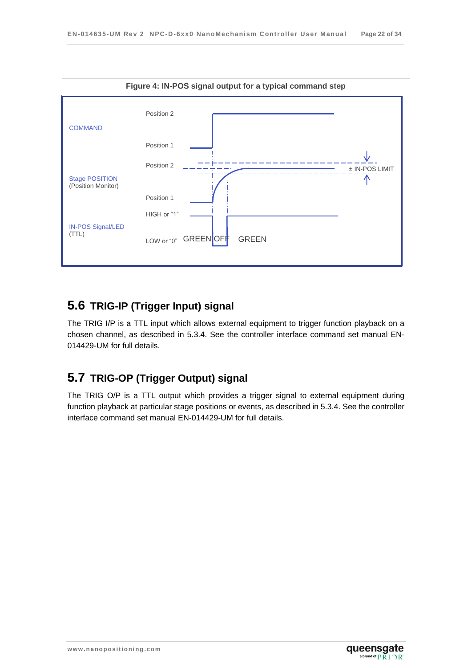

## <span id="page-21-0"></span>**5.6 TRIG-IP (Trigger Input) signal**

The TRIG I/P is a TTL input which allows external equipment to trigger function playback on a chosen channel, as described in [5.3.4.](#page-19-1) See the controller interface command set manual EN-014429-UM for full details.

# <span id="page-21-1"></span>**5.7 TRIG-OP (Trigger Output) signal**

The TRIG O/P is a TTL output which provides a trigger signal to external equipment during function playback at particular stage positions or events, as described in [5.3.4.](#page-19-1) See the controller interface command set manual EN-014429-UM for full details.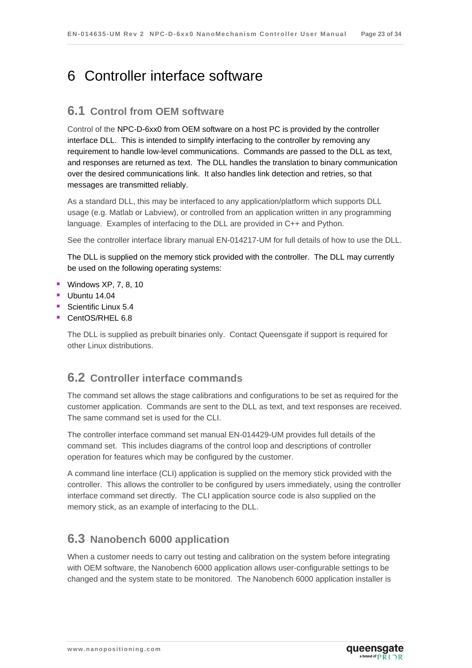# <span id="page-22-0"></span>6 Controller interface software

### <span id="page-22-1"></span>**6.1 Control from OEM software**

Control of the NPC-D-6xx0 from OEM software on a host PC is provided by the controller interface DLL. This is intended to simplify interfacing to the controller by removing any requirement to handle low-level communications. Commands are passed to the DLL as text, and responses are returned as text. The DLL handles the translation to binary communication over the desired communications link. It also handles link detection and retries, so that messages are transmitted reliably.

As a standard DLL, this may be interfaced to any application/platform which supports DLL usage (e.g. Matlab or Labview), or controlled from an application written in any programming language. Examples of interfacing to the DLL are provided in C++ and Python.

See the controller interface library manual EN-014217-UM for full details of how to use the DLL.

The DLL is supplied on the memory stick provided with the controller. The DLL may currently be used on the following operating systems:

- **Windows XP, 7, 8, 10**
- $\blacksquare$  Ubuntu 14.04
- Scientific Linux 5.4
- CentOS/RHEL 6.8

The DLL is supplied as prebuilt binaries only. Contact Queensgate if support is required for other Linux distributions.

### <span id="page-22-2"></span>**6.2 Controller interface commands**

The command set allows the stage calibrations and configurations to be set as required for the customer application. Commands are sent to the DLL as text, and text responses are received. The same command set is used for the CLI.

The controller interface command set manual EN-014429-UM provides full details of the command set. This includes diagrams of the control loop and descriptions of controller operation for features which may be configured by the customer.

A command line interface (CLI) application is supplied on the memory stick provided with the controller. This allows the controller to be configured by users immediately, using the controller interface command set directly. The CLI application source code is also supplied on the memory stick, as an example of interfacing to the DLL.

### <span id="page-22-3"></span>**6.3 Nanobench 6000 application**

When a customer needs to carry out testing and calibration on the system before integrating with OEM software, the Nanobench 6000 application allows user-configurable settings to be changed and the system state to be monitored. The Nanobench 6000 application installer is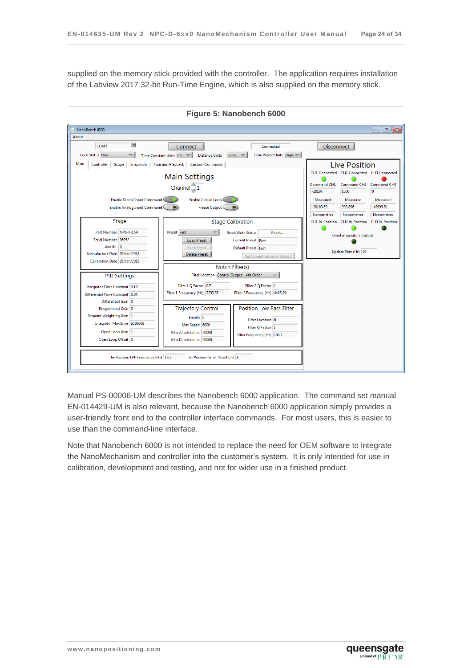supplied on the memory stick provided with the controller. The application requires installation of the Labview 2017 32-bit Run-Time Engine, which is also supplied on the memory stick.



**Figure 5: Nanobench 6000**

Manual PS-00006-UM describes the Nanobench 6000 application. The command set manual EN-014429-UM is also relevant, because the Nanobench 6000 application simply provides a user-friendly front end to the controller interface commands. For most users, this is easier to use than the command-line interface.

Note that Nanobench 6000 is not intended to replace the need for OEM software to integrate the NanoMechanism and controller into the customer's system. It is only intended for use in calibration, development and testing, and not for wider use in a finished product.

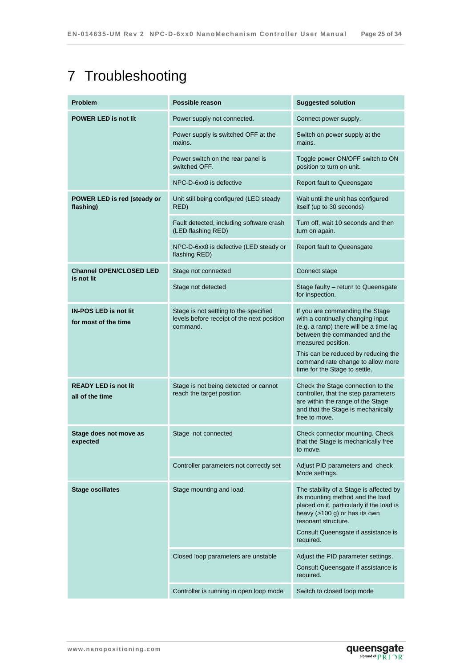# <span id="page-24-0"></span>7 Troubleshooting

| <b>Problem</b>                                       | Possible reason                                                                                  | <b>Suggested solution</b>                                                                                                                                                                                                                                                          |
|------------------------------------------------------|--------------------------------------------------------------------------------------------------|------------------------------------------------------------------------------------------------------------------------------------------------------------------------------------------------------------------------------------------------------------------------------------|
| <b>POWER LED is not lit</b>                          | Power supply not connected.                                                                      | Connect power supply.                                                                                                                                                                                                                                                              |
|                                                      | Power supply is switched OFF at the<br>mains.                                                    | Switch on power supply at the<br>mains.                                                                                                                                                                                                                                            |
|                                                      | Power switch on the rear panel is<br>switched OFF.                                               | Toggle power ON/OFF switch to ON<br>position to turn on unit.                                                                                                                                                                                                                      |
|                                                      | NPC-D-6xx0 is defective                                                                          | Report fault to Queensgate                                                                                                                                                                                                                                                         |
| POWER LED is red (steady or<br>flashing)             | Unit still being configured (LED steady<br>RED)                                                  | Wait until the unit has configured<br>itself (up to 30 seconds)                                                                                                                                                                                                                    |
|                                                      | Fault detected, including software crash<br>(LED flashing RED)                                   | Turn off, wait 10 seconds and then<br>turn on again.                                                                                                                                                                                                                               |
|                                                      | NPC-D-6xx0 is defective (LED steady or<br>flashing RED)                                          | Report fault to Queensgate                                                                                                                                                                                                                                                         |
| <b>Channel OPEN/CLOSED LED</b><br>is not lit         | Stage not connected                                                                              | Connect stage                                                                                                                                                                                                                                                                      |
|                                                      | Stage not detected                                                                               | Stage faulty - return to Queensgate<br>for inspection.                                                                                                                                                                                                                             |
| <b>IN-POS LED is not lit</b><br>for most of the time | Stage is not settling to the specified<br>levels before receipt of the next position<br>command. | If you are commanding the Stage<br>with a continually changing input<br>(e.g. a ramp) there will be a time lag<br>between the commanded and the<br>measured position.<br>This can be reduced by reducing the<br>command rate change to allow more<br>time for the Stage to settle. |
| <b>READY LED is not lit</b><br>all of the time       | Stage is not being detected or cannot<br>reach the target position                               | Check the Stage connection to the<br>controller, that the step parameters<br>are within the range of the Stage<br>and that the Stage is mechanically<br>free to move.                                                                                                              |
| Stage does not move as<br>expected                   | Stage not connected                                                                              | Check connector mounting. Check<br>that the Stage is mechanically free<br>to move.                                                                                                                                                                                                 |
|                                                      | Controller parameters not correctly set                                                          | Adjust PID parameters and check<br>Mode settings.                                                                                                                                                                                                                                  |
| <b>Stage oscillates</b>                              | Stage mounting and load.                                                                         | The stability of a Stage is affected by<br>its mounting method and the load<br>placed on it, particularly if the load is<br>heavy $(>100 \text{ g})$ or has its own<br>resonant structure.<br>Consult Queensgate if assistance is<br>required.                                     |
|                                                      | Closed loop parameters are unstable                                                              | Adjust the PID parameter settings.<br>Consult Queensgate if assistance is<br>required.                                                                                                                                                                                             |
|                                                      | Controller is running in open loop mode                                                          | Switch to closed loop mode                                                                                                                                                                                                                                                         |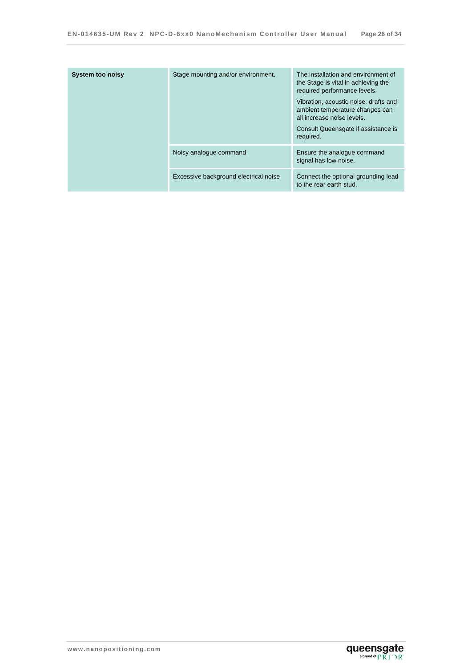| <b>System too noisy</b> | Stage mounting and/or environment.    | The installation and environment of<br>the Stage is vital in achieving the<br>required performance levels.<br>Vibration, acoustic noise, drafts and<br>ambient temperature changes can<br>all increase noise levels.<br>Consult Queensgate if assistance is<br>required. |
|-------------------------|---------------------------------------|--------------------------------------------------------------------------------------------------------------------------------------------------------------------------------------------------------------------------------------------------------------------------|
|                         | Noisy analogue command                | Ensure the analogue command<br>signal has low noise.                                                                                                                                                                                                                     |
|                         | Excessive background electrical noise | Connect the optional grounding lead<br>to the rear earth stud.                                                                                                                                                                                                           |

queensgate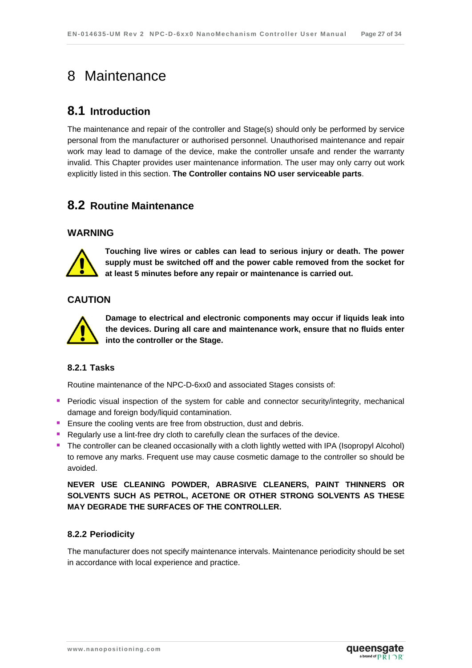# <span id="page-26-0"></span>8 Maintenance

### <span id="page-26-1"></span>**8.1 Introduction**

The maintenance and repair of the controller and Stage(s) should only be performed by service personal from the manufacturer or authorised personnel. Unauthorised maintenance and repair work may lead to damage of the device, make the controller unsafe and render the warranty invalid. This Chapter provides user maintenance information. The user may only carry out work explicitly listed in this section. **The Controller contains NO user serviceable parts**.

### <span id="page-26-2"></span>**8.2 Routine Maintenance**

#### **WARNING**



**Touching live wires or cables can lead to serious injury or death. The power supply must be switched off and the power cable removed from the socket for at least 5 minutes before any repair or maintenance is carried out.** 

#### **CAUTION**



**Damage to electrical and electronic components may occur if liquids leak into the devices. During all care and maintenance work, ensure that no fluids enter into the controller or the Stage.** 

#### <span id="page-26-3"></span>**8.2.1 Tasks**

Routine maintenance of the NPC-D-6xx0 and associated Stages consists of:

- **Periodic visual inspection of the system for cable and connector security/integrity, mechanical** damage and foreign body/liquid contamination.
- **Ensure the cooling vents are free from obstruction, dust and debris.**
- **Regularly use a lint-free dry cloth to carefully clean the surfaces of the device.**
- The controller can be cleaned occasionally with a cloth lightly wetted with IPA (Isopropyl Alcohol) to remove any marks. Frequent use may cause cosmetic damage to the controller so should be avoided.

**NEVER USE CLEANING POWDER, ABRASIVE CLEANERS, PAINT THINNERS OR SOLVENTS SUCH AS PETROL, ACETONE OR OTHER STRONG SOLVENTS AS THESE MAY DEGRADE THE SURFACES OF THE CONTROLLER.**

#### <span id="page-26-4"></span>**8.2.2 Periodicity**

The manufacturer does not specify maintenance intervals. Maintenance periodicity should be set in accordance with local experience and practice.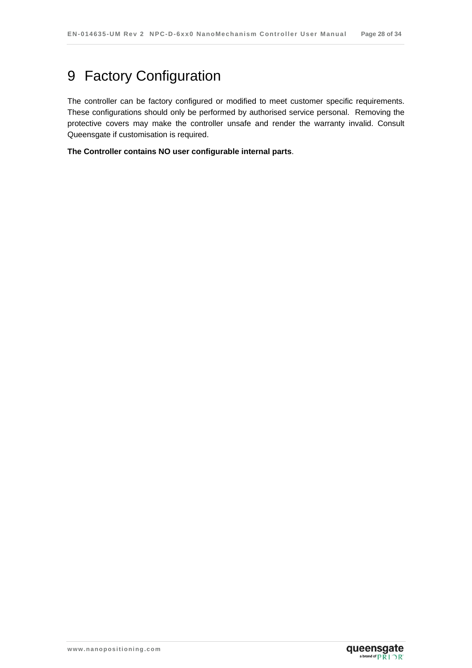# <span id="page-27-0"></span>9 Factory Configuration

The controller can be factory configured or modified to meet customer specific requirements. These configurations should only be performed by authorised service personal. Removing the protective covers may make the controller unsafe and render the warranty invalid. Consult Queensgate if customisation is required.

**The Controller contains NO user configurable internal parts**.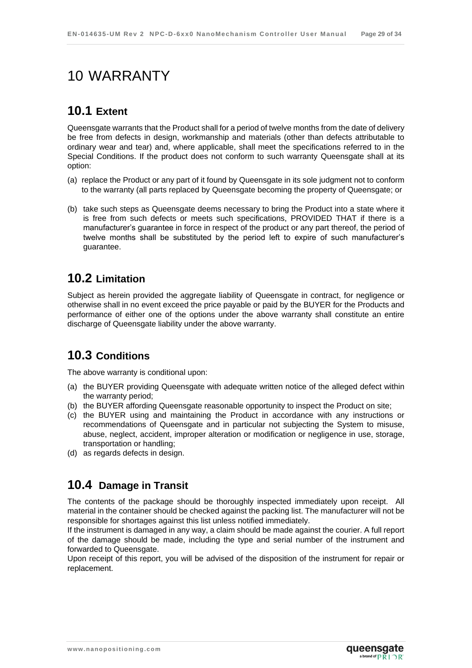# <span id="page-28-0"></span>10 WARRANTY

## <span id="page-28-1"></span>**10.1 Extent**

Queensgate warrants that the Product shall for a period of twelve months from the date of delivery be free from defects in design, workmanship and materials (other than defects attributable to ordinary wear and tear) and, where applicable, shall meet the specifications referred to in the Special Conditions. If the product does not conform to such warranty Queensgate shall at its option:

- (a) replace the Product or any part of it found by Queensgate in its sole judgment not to conform to the warranty (all parts replaced by Queensgate becoming the property of Queensgate; or
- (b) take such steps as Queensgate deems necessary to bring the Product into a state where it is free from such defects or meets such specifications, PROVIDED THAT if there is a manufacturer's guarantee in force in respect of the product or any part thereof, the period of twelve months shall be substituted by the period left to expire of such manufacturer's guarantee.

# <span id="page-28-2"></span>**10.2 Limitation**

Subject as herein provided the aggregate liability of Queensgate in contract, for negligence or otherwise shall in no event exceed the price payable or paid by the BUYER for the Products and performance of either one of the options under the above warranty shall constitute an entire discharge of Queensgate liability under the above warranty.

## <span id="page-28-3"></span>**10.3 Conditions**

The above warranty is conditional upon:

- (a) the BUYER providing Queensgate with adequate written notice of the alleged defect within the warranty period;
- (b) the BUYER affording Queensgate reasonable opportunity to inspect the Product on site;
- (c) the BUYER using and maintaining the Product in accordance with any instructions or recommendations of Queensgate and in particular not subjecting the System to misuse, abuse, neglect, accident, improper alteration or modification or negligence in use, storage, transportation or handling;
- <span id="page-28-4"></span>(d) as regards defects in design.

## **10.4 Damage in Transit**

The contents of the package should be thoroughly inspected immediately upon receipt. All material in the container should be checked against the packing list. The manufacturer will not be responsible for shortages against this list unless notified immediately.

If the instrument is damaged in any way, a claim should be made against the courier. A full report of the damage should be made, including the type and serial number of the instrument and forwarded to Queensgate.

Upon receipt of this report, you will be advised of the disposition of the instrument for repair or replacement.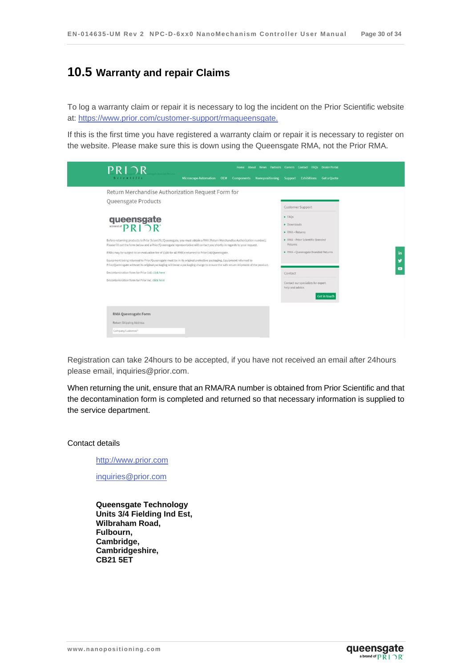### <span id="page-29-0"></span>**10.5 Warranty and repair Claims**

To log a warranty claim or repair it is necessary to log the incident on the Prior Scientific website at:<https://www.prior.com/customer-support/rmaqueensgate.>

If this is the first time you have registered a warranty claim or repair it is necessary to register on the website. Please make sure this is down using the Queensgate RMA, not the Prior RMA.



Registration can take 24hours to be accepted, if you have not received an email after 24hours please email, inquiries@prior.com.

When returning the unit, ensure that an RMA/RA number is obtained from Prior Scientific and that the decontamination form is completed and returned so that necessary information is supplied to the service department.

Contact details

[http://www.prior.com](http://www.prior.com/)

[inquiries@prior.com](mailto:inquiries@prior.com)

**Queensgate Technology Units 3/4 Fielding Ind Est, Wilbraham Road, Fulbourn, Cambridge, Cambridgeshire, CB21 5ET**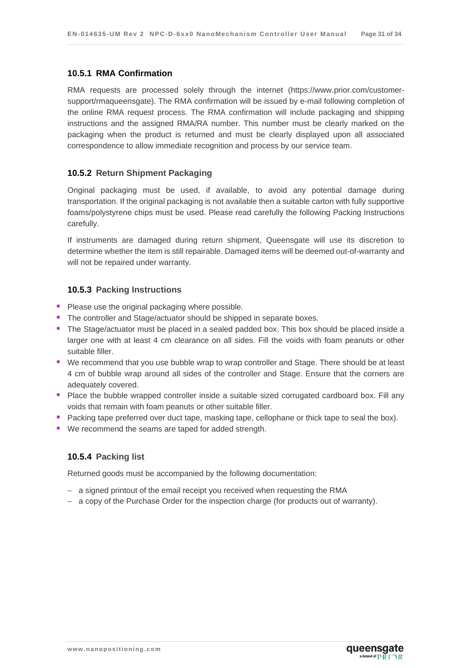#### <span id="page-30-0"></span>**10.5.1 RMA Confirmation**

RMA requests are processed solely through the internet (https://www.prior.com/customersupport/rmaqueensgate). The RMA confirmation will be issued by e-mail following completion of the online RMA request process. The RMA confirmation will include packaging and shipping instructions and the assigned RMA/RA number. This number must be clearly marked on the packaging when the product is returned and must be clearly displayed upon all associated correspondence to allow immediate recognition and process by our service team.

#### <span id="page-30-1"></span>**10.5.2 Return Shipment Packaging**

Original packaging must be used, if available, to avoid any potential damage during transportation. If the original packaging is not available then a suitable carton with fully supportive foams/polystyrene chips must be used. Please read carefully the following Packing Instructions carefully.

If instruments are damaged during return shipment, Queensgate will use its discretion to determine whether the item is still repairable. Damaged items will be deemed out-of-warranty and will not be repaired under warranty.

#### <span id="page-30-2"></span>**10.5.3 Packing Instructions**

- **Please use the original packaging where possible.**
- The controller and Stage/actuator should be shipped in separate boxes.
- The Stage/actuator must be placed in a sealed padded box. This box should be placed inside a larger one with at least 4 cm clearance on all sides. Fill the voids with foam peanuts or other suitable filler.
- We recommend that you use bubble wrap to wrap controller and Stage. There should be at least 4 cm of bubble wrap around all sides of the controller and Stage. Ensure that the corners are adequately covered.
- **P** Place the bubble wrapped controller inside a suitable sized corrugated cardboard box. Fill any voids that remain with foam peanuts or other suitable filler.
- **Packing tape preferred over duct tape, masking tape, cellophane or thick tape to seal the box).**
- We recommend the seams are taped for added strength.

#### <span id="page-30-3"></span>**10.5.4 Packing list**

Returned goods must be accompanied by the following documentation:

- a signed printout of the email receipt you received when requesting the RMA
- a copy of the Purchase Order for the inspection charge (for products out of warranty).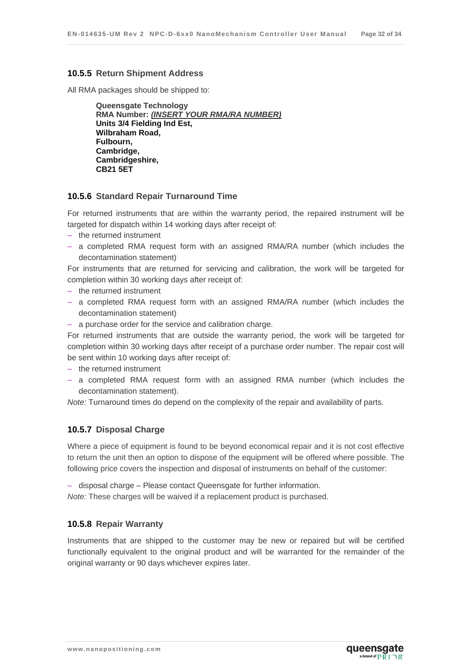#### <span id="page-31-0"></span>**10.5.5 Return Shipment Address**

All RMA packages should be shipped to:

**Queensgate Technology RMA Number:** *(INSERT YOUR RMA/RA NUMBER)* **Units 3/4 Fielding Ind Est, Wilbraham Road, Fulbourn, Cambridge, Cambridgeshire, CB21 5ET**

#### <span id="page-31-1"></span>**10.5.6 Standard Repair Turnaround Time**

For returned instruments that are within the warranty period, the repaired instrument will be targeted for dispatch within 14 working days after receipt of:

- the returned instrument
- a completed RMA request form with an assigned RMA/RA number (which includes the decontamination statement)

For instruments that are returned for servicing and calibration, the work will be targeted for completion within 30 working days after receipt of:

- the returned instrument
- a completed RMA request form with an assigned RMA/RA number (which includes the decontamination statement)
- a purchase order for the service and calibration charge.

For returned instruments that are outside the warranty period, the work will be targeted for completion within 30 working days after receipt of a purchase order number. The repair cost will be sent within 10 working days after receipt of:

- the returned instrument
- a completed RMA request form with an assigned RMA number (which includes the decontamination statement).

*Note:* Turnaround times do depend on the complexity of the repair and availability of parts.

#### <span id="page-31-2"></span>**10.5.7 Disposal Charge**

Where a piece of equipment is found to be beyond economical repair and it is not cost effective to return the unit then an option to dispose of the equipment will be offered where possible. The following price covers the inspection and disposal of instruments on behalf of the customer:

– disposal charge – Please contact Queensgate for further information. *Note:* These charges will be waived if a replacement product is purchased.

#### <span id="page-31-3"></span>**10.5.8 Repair Warranty**

Instruments that are shipped to the customer may be new or repaired but will be certified functionally equivalent to the original product and will be warranted for the remainder of the original warranty or 90 days whichever expires later.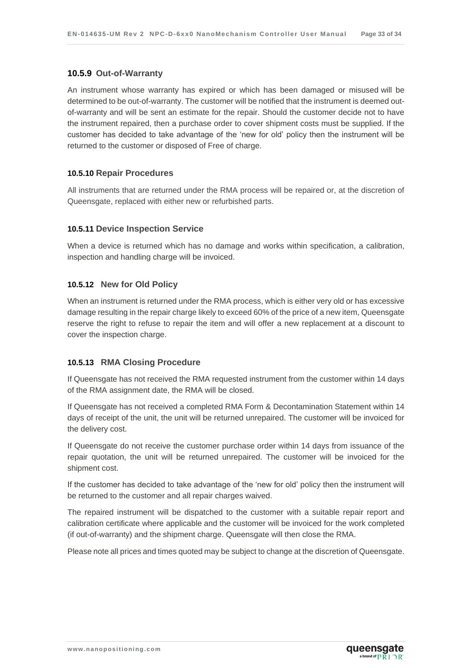#### <span id="page-32-0"></span>**10.5.9 Out-of-Warranty**

An instrument whose warranty has expired or which has been damaged or misused will be determined to be out-of-warranty. The customer will be notified that the instrument is deemed outof-warranty and will be sent an estimate for the repair. Should the customer decide not to have the instrument repaired, then a purchase order to cover shipment costs must be supplied. If the customer has decided to take advantage of the 'new for old' policy then the instrument will be returned to the customer or disposed of Free of charge.

#### <span id="page-32-1"></span>**10.5.10 Repair Procedures**

All instruments that are returned under the RMA process will be repaired or, at the discretion of Queensgate, replaced with either new or refurbished parts.

#### <span id="page-32-2"></span>**10.5.11 Device Inspection Service**

When a device is returned which has no damage and works within specification, a calibration, inspection and handling charge will be invoiced.

#### <span id="page-32-3"></span>**10.5.12 New for Old Policy**

When an instrument is returned under the RMA process, which is either very old or has excessive damage resulting in the repair charge likely to exceed 60% of the price of a new item, Queensgate reserve the right to refuse to repair the item and will offer a new replacement at a discount to cover the inspection charge.

#### <span id="page-32-4"></span>**10.5.13 RMA Closing Procedure**

If Queensgate has not received the RMA requested instrument from the customer within 14 days of the RMA assignment date, the RMA will be closed.

If Queensgate has not received a completed RMA Form & Decontamination Statement within 14 days of receipt of the unit, the unit will be returned unrepaired. The customer will be invoiced for the delivery cost.

If Queensgate do not receive the customer purchase order within 14 days from issuance of the repair quotation, the unit will be returned unrepaired. The customer will be invoiced for the shipment cost.

If the customer has decided to take advantage of the 'new for old' policy then the instrument will be returned to the customer and all repair charges waived.

The repaired instrument will be dispatched to the customer with a suitable repair report and calibration certificate where applicable and the customer will be invoiced for the work completed (if out-of-warranty) and the shipment charge. Queensgate will then close the RMA.

Please note all prices and times quoted may be subject to change at the discretion of Queensgate.